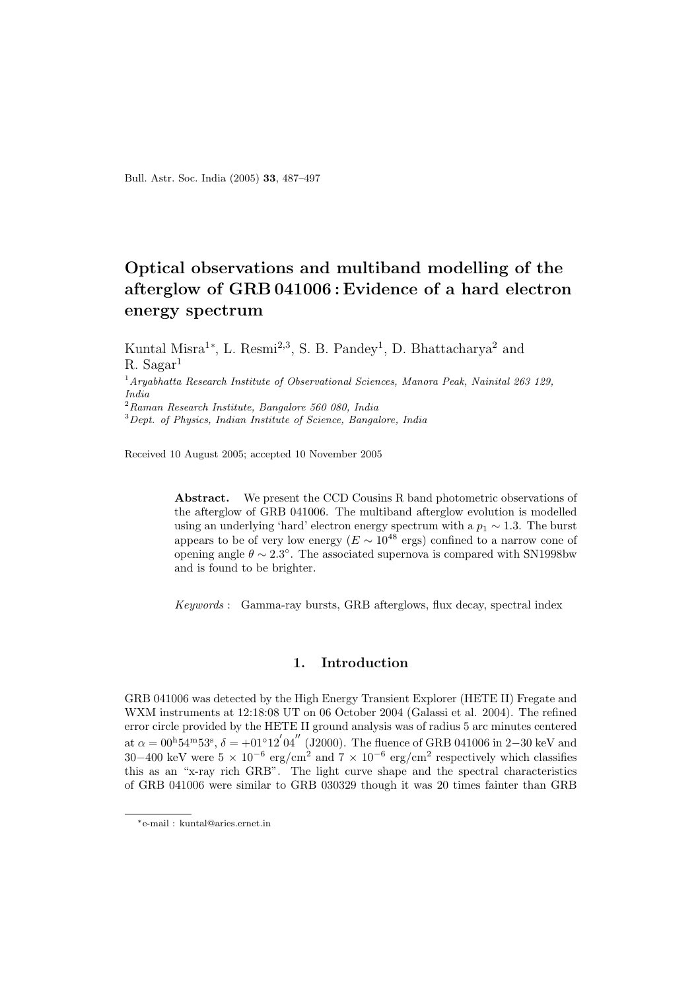Bull. Astr. Soc. India (2005) 33, 487–497

# Optical observations and multiband modelling of the afterglow of GRB 041006 : Evidence of a hard electron energy spectrum

Kuntal Misra<sup>1</sup><sup>\*</sup>, L. Resmi<sup>2,3</sup>, S. B. Pandey<sup>1</sup>, D. Bhattacharya<sup>2</sup> and  $R.$  Sagar<sup>1</sup>  $1$ Aryabhatta Research Institute of Observational Sciences, Manora Peak, Nainital 263 129, India  $2$ Raman Research Institute, Bangalore 560 080, India

 $3$  Dept. of Physics, Indian Institute of Science, Bangalore, India

Received 10 August 2005; accepted 10 November 2005

Abstract. We present the CCD Cousins R band photometric observations of the afterglow of GRB 041006. The multiband afterglow evolution is modelled using an underlying 'hard' electron energy spectrum with a  $p_1 \sim 1.3$ . The burst appears to be of very low energy ( $E \sim 10^{48}$  ergs) confined to a narrow cone of opening angle  $\theta \sim 2.3^{\circ}$ . The associated supernova is compared with SN1998bw and is found to be brighter.

Keywords : Gamma-ray bursts, GRB afterglows, flux decay, spectral index

# 1. Introduction

GRB 041006 was detected by the High Energy Transient Explorer (HETE II) Fregate and WXM instruments at 12:18:08 UT on 06 October 2004 (Galassi et al. 2004). The refined error circle provided by the HETE II ground analysis was of radius 5 arc minutes centered at  $\alpha = 0^{0.64}$   $\alpha = 40^{1.64}$   $\alpha = 50^{1.64}$   $\alpha = 60^{1.64}$   $\alpha = 60^{1.64}$   $\alpha = 60^{1.64}$   $\alpha = 60^{1.64}$  and 30–400 keV were  $5 \times 10^{-6}$  erg/cm<sup>2</sup> and  $7 \times 10^{-6}$  erg/cm<sup>2</sup> respectively which classifies this as an "x-ray rich GRB". The light curve shape and the spectral characteristics of GRB 041006 were similar to GRB 030329 though it was 20 times fainter than GRB

<sup>∗</sup>e-mail : kuntal@aries.ernet.in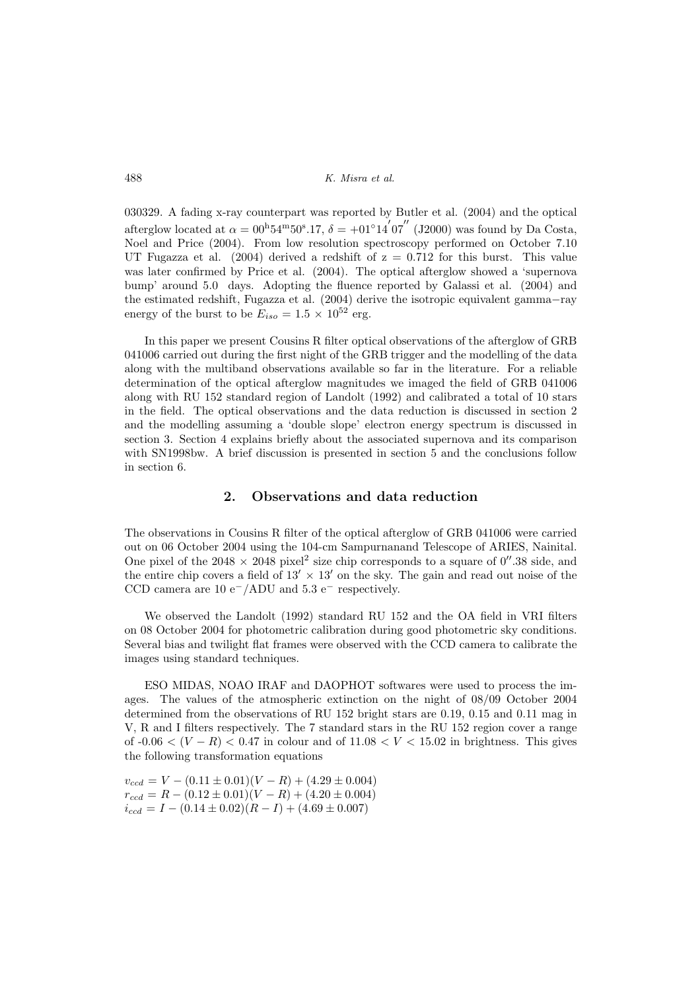488 K. Misra et al.

030329. A fading x-ray counterpart was reported by Butler et al. (2004) and the optical afterglow located at  $\alpha = 0^{0.54^{\rm m}} 50^{\rm s} .17$ ,  $\delta = +01°14'07''$  (J2000) was found by Da Costa, Noel and Price (2004). From low resolution spectroscopy performed on October 7.10 UT Fugazza et al.  $(2004)$  derived a redshift of  $z = 0.712$  for this burst. This value was later confirmed by Price et al. (2004). The optical afterglow showed a 'supernova bump' around 5.0 days. Adopting the fluence reported by Galassi et al. (2004) and the estimated redshift, Fugazza et al. (2004) derive the isotropic equivalent gamma−ray energy of the burst to be  $E_{iso} = 1.5 \times 10^{52}$  erg.

In this paper we present Cousins R filter optical observations of the afterglow of GRB 041006 carried out during the first night of the GRB trigger and the modelling of the data along with the multiband observations available so far in the literature. For a reliable determination of the optical afterglow magnitudes we imaged the field of GRB 041006 along with RU 152 standard region of Landolt (1992) and calibrated a total of 10 stars in the field. The optical observations and the data reduction is discussed in section 2 and the modelling assuming a 'double slope' electron energy spectrum is discussed in section 3. Section 4 explains briefly about the associated supernova and its comparison with SN1998bw. A brief discussion is presented in section 5 and the conclusions follow in section 6.

# 2. Observations and data reduction

The observations in Cousins R filter of the optical afterglow of GRB 041006 were carried out on 06 October 2004 using the 104-cm Sampurnanand Telescope of ARIES, Nainital. One pixel of the 2048  $\times$  2048 pixel<sup>2</sup> size chip corresponds to a square of 0''.38 side, and the entire chip covers a field of  $13' \times 13'$  on the sky. The gain and read out noise of the CCD camera are 10 e<sup>−</sup>/ADU and 5.3 e<sup>−</sup> respectively.

We observed the Landolt (1992) standard RU 152 and the OA field in VRI filters on 08 October 2004 for photometric calibration during good photometric sky conditions. Several bias and twilight flat frames were observed with the CCD camera to calibrate the images using standard techniques.

ESO MIDAS, NOAO IRAF and DAOPHOT softwares were used to process the images. The values of the atmospheric extinction on the night of 08/09 October 2004 determined from the observations of RU 152 bright stars are 0.19, 0.15 and 0.11 mag in V, R and I filters respectively. The 7 standard stars in the RU 152 region cover a range of  $-0.06 < (V - R) < 0.47$  in colour and of  $11.08 < V < 15.02$  in brightness. This gives the following transformation equations

 $v_{ced} = V - (0.11 \pm 0.01)(V - R) + (4.29 \pm 0.004)$  $r_{ccd} = R - (0.12 \pm 0.01)(V - R) + (4.20 \pm 0.004)$  $i_{ccd} = I - (0.14 \pm 0.02)(R - I) + (4.69 \pm 0.007)$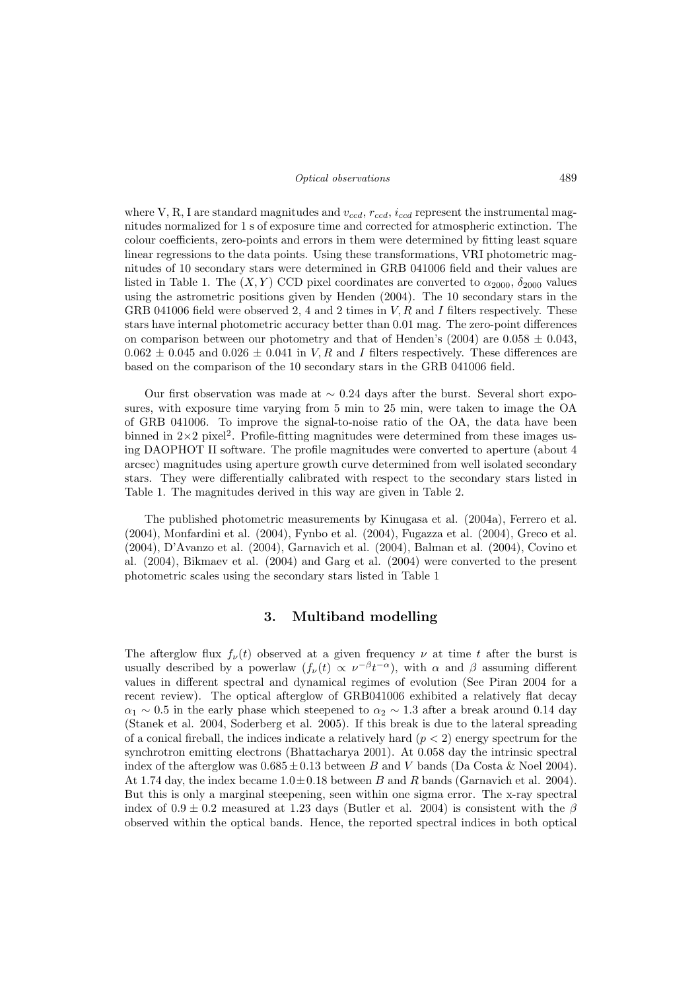#### Optical observations 489

where V, R, I are standard magnitudes and  $v_{ccd}$ ,  $r_{ccd}$ ,  $i_{ccd}$  represent the instrumental magnitudes normalized for 1 s of exposure time and corrected for atmospheric extinction. The colour coefficients, zero-points and errors in them were determined by fitting least square linear regressions to the data points. Using these transformations, VRI photometric magnitudes of 10 secondary stars were determined in GRB 041006 field and their values are listed in Table 1. The  $(X, Y)$  CCD pixel coordinates are converted to  $\alpha_{2000}$ ,  $\delta_{2000}$  values using the astrometric positions given by Henden (2004). The 10 secondary stars in the GRB 041006 field were observed 2, 4 and 2 times in  $V, R$  and I filters respectively. These stars have internal photometric accuracy better than 0.01 mag. The zero-point differences on comparison between our photometry and that of Henden's (2004) are  $0.058 \pm 0.043$ ,  $0.062 \pm 0.045$  and  $0.026 \pm 0.041$  in V, R and I filters respectively. These differences are based on the comparison of the 10 secondary stars in the GRB 041006 field.

Our first observation was made at  $\sim 0.24$  days after the burst. Several short exposures, with exposure time varying from 5 min to 25 min, were taken to image the OA of GRB 041006. To improve the signal-to-noise ratio of the OA, the data have been binned in  $2\times 2$  pixel<sup>2</sup>. Profile-fitting magnitudes were determined from these images using DAOPHOT II software. The profile magnitudes were converted to aperture (about 4 arcsec) magnitudes using aperture growth curve determined from well isolated secondary stars. They were differentially calibrated with respect to the secondary stars listed in Table 1. The magnitudes derived in this way are given in Table 2.

The published photometric measurements by Kinugasa et al. (2004a), Ferrero et al. (2004), Monfardini et al. (2004), Fynbo et al. (2004), Fugazza et al. (2004), Greco et al. (2004), D'Avanzo et al. (2004), Garnavich et al. (2004), Balman et al. (2004), Covino et al. (2004), Bikmaev et al. (2004) and Garg et al. (2004) were converted to the present photometric scales using the secondary stars listed in Table 1

### 3. Multiband modelling

The afterglow flux  $f_{\nu}(t)$  observed at a given frequency  $\nu$  at time t after the burst is usually described by a powerlaw  $(f_{\nu}(t) \propto \nu^{-\beta} t^{-\alpha})$ , with  $\alpha$  and  $\beta$  assuming different values in different spectral and dynamical regimes of evolution (See Piran 2004 for a recent review). The optical afterglow of GRB041006 exhibited a relatively flat decay  $\alpha_1 \sim 0.5$  in the early phase which steepened to  $\alpha_2 \sim 1.3$  after a break around 0.14 day (Stanek et al. 2004, Soderberg et al. 2005). If this break is due to the lateral spreading of a conical fireball, the indices indicate a relatively hard  $(p < 2)$  energy spectrum for the synchrotron emitting electrons (Bhattacharya 2001). At 0.058 day the intrinsic spectral index of the afterglow was  $0.685 \pm 0.13$  between B and V bands (Da Costa & Noel 2004). At 1.74 day, the index became  $1.0 \pm 0.18$  between B and R bands (Garnavich et al. 2004). But this is only a marginal steepening, seen within one sigma error. The x-ray spectral index of  $0.9 \pm 0.2$  measured at 1.23 days (Butler et al. 2004) is consistent with the  $\beta$ observed within the optical bands. Hence, the reported spectral indices in both optical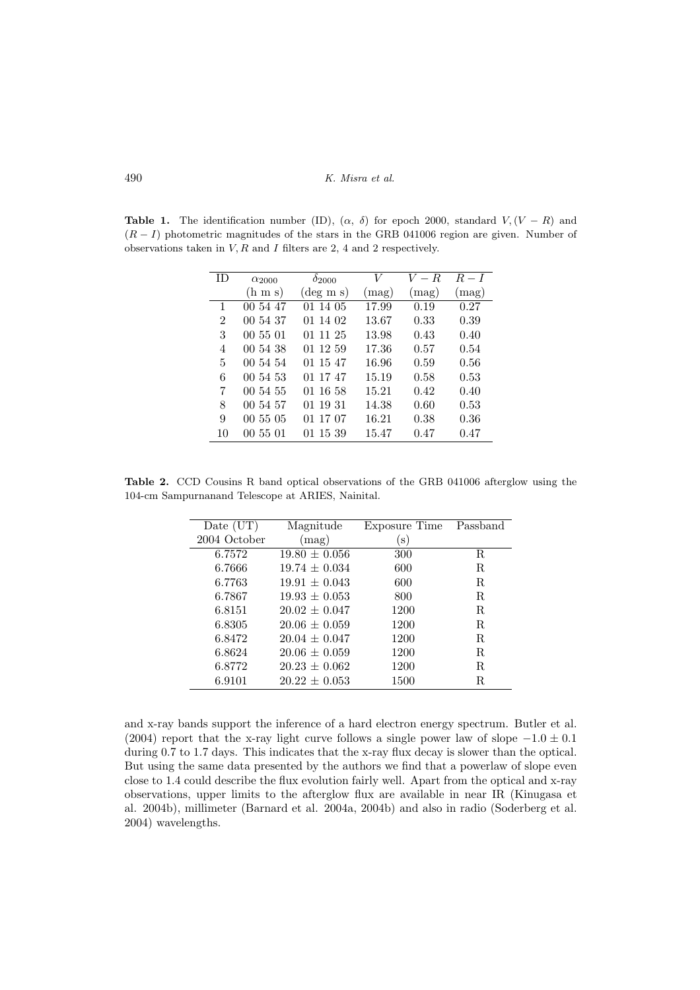**Table 1.** The identification number (ID),  $(\alpha, \delta)$  for epoch 2000, standard  $V, (V - R)$  and  $(R - I)$  photometric magnitudes of the stars in the GRB 041006 region are given. Number of observations taken in  $V, R$  and  $I$  filters are 2, 4 and 2 respectively.

| ID.            | $\alpha_{2000}$     | $\delta_{2000}$    | V              | $V-R$          | $R-I$          |
|----------------|---------------------|--------------------|----------------|----------------|----------------|
|                | $(h \, \text{m s})$ | $(\text{deg m s})$ | $(\text{mag})$ | $(\text{mag})$ | $\text{mag}$ ) |
| 1              | 00 54 47            | 01 14 05           | 17.99          | 0.19           | 0.27           |
| $\overline{2}$ | 00 54 37            | 01 14 02           | 13.67          | 0.33           | 0.39           |
| 3              | 00 55 01            | 01 11 25           | 13.98          | 0.43           | 0.40           |
| 4              | 00 54 38            | 01 12 59           | 17.36          | 0.57           | 0.54           |
| 5              | 00 54 54            | 01 15 47           | 16.96          | 0.59           | 0.56           |
| 6              | 00 54 53            | 01 17 47           | 15.19          | 0.58           | 0.53           |
| 7              | 00 54 55            | 01 16 58           | 15.21          | 0.42           | 0.40           |
| 8              | 00 54 57            | 01 19 31           | 14.38          | 0.60           | 0.53           |
| 9              | 005505              | 01 17 07           | 16.21          | 0.38           | 0.36           |
| 10             | 00 55 01            | 01 15 39           | 15.47          | 0.47           | 0.47           |
|                |                     |                    |                |                |                |

Table 2. CCD Cousins R band optical observations of the GRB 041006 afterglow using the 104-cm Sampurnanand Telescope at ARIES, Nainital.

| Date $(UT)$  | Magnitude         | Exposure Time Passband |   |
|--------------|-------------------|------------------------|---|
| 2004 October | (mag)             | s)                     |   |
| 6.7572       | $19.80 \pm 0.056$ | 300                    | R |
| 6.7666       | $19.74 \pm 0.034$ | 600                    | R |
| 6.7763       | $19.91 \pm 0.043$ | 600                    | R |
| 6.7867       | $19.93 \pm 0.053$ | 800                    | R |
| 6.8151       | $20.02 \pm 0.047$ | 1200                   | R |
| 6.8305       | $20.06 \pm 0.059$ | 1200                   | R |
| 6.8472       | $20.04 \pm 0.047$ | 1200                   | R |
| 6.8624       | $20.06 \pm 0.059$ | 1200                   | R |
| 6.8772       | $20.23 \pm 0.062$ | 1200                   | R |
| 6.9101       | $20.22 \pm 0.053$ | 1500                   | R |

and x-ray bands support the inference of a hard electron energy spectrum. Butler et al. (2004) report that the x-ray light curve follows a single power law of slope  $-1.0 \pm 0.1$ during 0.7 to 1.7 days. This indicates that the x-ray flux decay is slower than the optical. But using the same data presented by the authors we find that a powerlaw of slope even close to 1.4 could describe the flux evolution fairly well. Apart from the optical and x-ray observations, upper limits to the afterglow flux are available in near IR (Kinugasa et al. 2004b), millimeter (Barnard et al. 2004a, 2004b) and also in radio (Soderberg et al. 2004) wavelengths.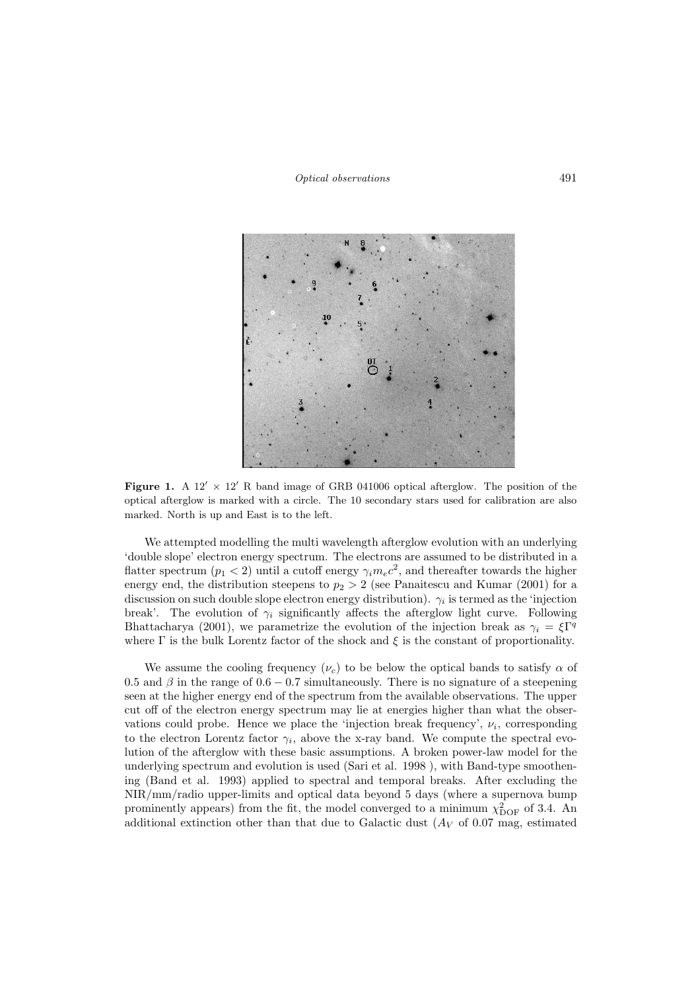Optical observations 491



Figure 1. A  $12' \times 12'$  R band image of GRB 041006 optical afterglow. The position of the optical afterglow is marked with a circle. The 10 secondary stars used for calibration are also marked. North is up and East is to the left.

We attempted modelling the multi wavelength afterglow evolution with an underlying 'double slope' electron energy spectrum. The electrons are assumed to be distributed in a flatter spectrum  $(p_1 < 2)$  until a cutoff energy  $\gamma_i m_e c^2$ , and thereafter towards the higher energy end, the distribution steepens to  $p_2 > 2$  (see Panaitescu and Kumar (2001) for a discussion on such double slope electron energy distribution).  $\gamma_i$  is termed as the 'injection break'. The evolution of  $\gamma_i$  significantly affects the afterglow light curve. Following Bhattacharya (2001), we parametrize the evolution of the injection break as  $\gamma_i = \xi \Gamma^q$ where  $\Gamma$  is the bulk Lorentz factor of the shock and  $\xi$  is the constant of proportionality.

We assume the cooling frequency  $(\nu_c)$  to be below the optical bands to satisfy  $\alpha$  of 0.5 and  $\beta$  in the range of 0.6 – 0.7 simultaneously. There is no signature of a steepening seen at the higher energy end of the spectrum from the available observations. The upper cut off of the electron energy spectrum may lie at energies higher than what the observations could probe. Hence we place the 'injection break frequency',  $\nu_i$ , corresponding to the electron Lorentz factor  $\gamma_i$ , above the x-ray band. We compute the spectral evolution of the afterglow with these basic assumptions. A broken power-law model for the underlying spectrum and evolution is used (Sari et al. 1998 ), with Band-type smoothening (Band et al. 1993) applied to spectral and temporal breaks. After excluding the NIR/mm/radio upper-limits and optical data beyond 5 days (where a supernova bump prominently appears) from the fit, the model converged to a minimum  $\chi^2_{\text{DOF}}$  of 3.4. An additional extinction other than that due to Galactic dust  $(A_V \text{ of } 0.07 \text{ mag}, \text{ estimated})$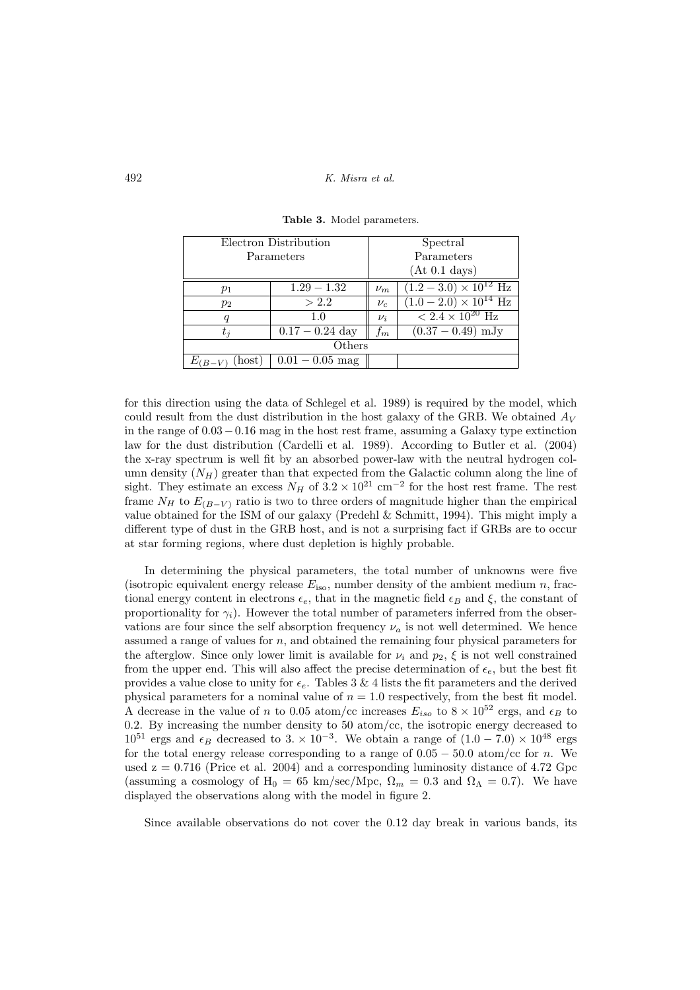| Electron Distribution |                   |         | Spectral                               |  |  |
|-----------------------|-------------------|---------|----------------------------------------|--|--|
| Parameters            |                   |         | Parameters                             |  |  |
|                       |                   |         | (At 0.1 days)                          |  |  |
| $p_1$                 | $1.29 - 1.32$     | $\nu_m$ | $(1.2-3.0) \times 10^{12}$ Hz          |  |  |
| $p_2$                 | > 2.2             | $\nu_c$ | $(1.0-2.0)\times10^{14}$ Hz            |  |  |
| q                     | $1.0\,$           | $\nu_i$ | $\sqrt{2.4 \times 10^{20} \text{ Hz}}$ |  |  |
| $t_{\it i}$           | $0.17 - 0.24$ day | $f_m\$  | $(0.37 - 0.49)$ mJy                    |  |  |
| Others                |                   |         |                                        |  |  |
| host)<br>$E_{(B-V)}$  | $0.01 - 0.05$ mag |         |                                        |  |  |

Table 3. Model parameters.

for this direction using the data of Schlegel et al. 1989) is required by the model, which could result from the dust distribution in the host galaxy of the GRB. We obtained  $A_V$ in the range of 0.03−0.16 mag in the host rest frame, assuming a Galaxy type extinction law for the dust distribution (Cardelli et al. 1989). According to Butler et al. (2004) the x-ray spectrum is well fit by an absorbed power-law with the neutral hydrogen column density  $(N_H)$  greater than that expected from the Galactic column along the line of sight. They estimate an excess  $N_H$  of  $3.2 \times 10^{21}$  cm<sup>-2</sup> for the host rest frame. The rest frame  $N_H$  to  $E_{(B-V)}$  ratio is two to three orders of magnitude higher than the empirical value obtained for the ISM of our galaxy (Predehl  $\&$  Schmitt, 1994). This might imply a different type of dust in the GRB host, and is not a surprising fact if GRBs are to occur at star forming regions, where dust depletion is highly probable.

In determining the physical parameters, the total number of unknowns were five (isotropic equivalent energy release  $E_{\text{iso}}$ , number density of the ambient medium n, fractional energy content in electrons  $\epsilon_e$ , that in the magnetic field  $\epsilon_B$  and  $\xi$ , the constant of proportionality for  $\gamma_i$ ). However the total number of parameters inferred from the observations are four since the self absorption frequency  $\nu_a$  is not well determined. We hence assumed a range of values for  $n$ , and obtained the remaining four physical parameters for the afterglow. Since only lower limit is available for  $\nu_i$  and  $p_2$ ,  $\xi$  is not well constrained from the upper end. This will also affect the precise determination of  $\epsilon_e$ , but the best fit provides a value close to unity for  $\epsilon_e$ . Tables 3 & 4 lists the fit parameters and the derived physical parameters for a nominal value of  $n = 1.0$  respectively, from the best fit model. A decrease in the value of n to 0.05 atom/cc increases  $E_{iso}$  to  $8 \times 10^{52}$  ergs, and  $\epsilon_B$  to 0.2. By increasing the number density to 50 atom/cc, the isotropic energy decreased to  $10^{51}$  ergs and  $\epsilon_B$  decreased to 3. ×  $10^{-3}$ . We obtain a range of  $(1.0 - 7.0) \times 10^{48}$  ergs for the total energy release corresponding to a range of  $0.05 - 50.0$  atom/cc for n. We used  $z = 0.716$  (Price et al. 2004) and a corresponding luminosity distance of 4.72 Gpc (assuming a cosmology of  $H_0 = 65$  km/sec/Mpc,  $\Omega_m = 0.3$  and  $\Omega_{\Lambda} = 0.7$ ). We have displayed the observations along with the model in figure 2.

Since available observations do not cover the 0.12 day break in various bands, its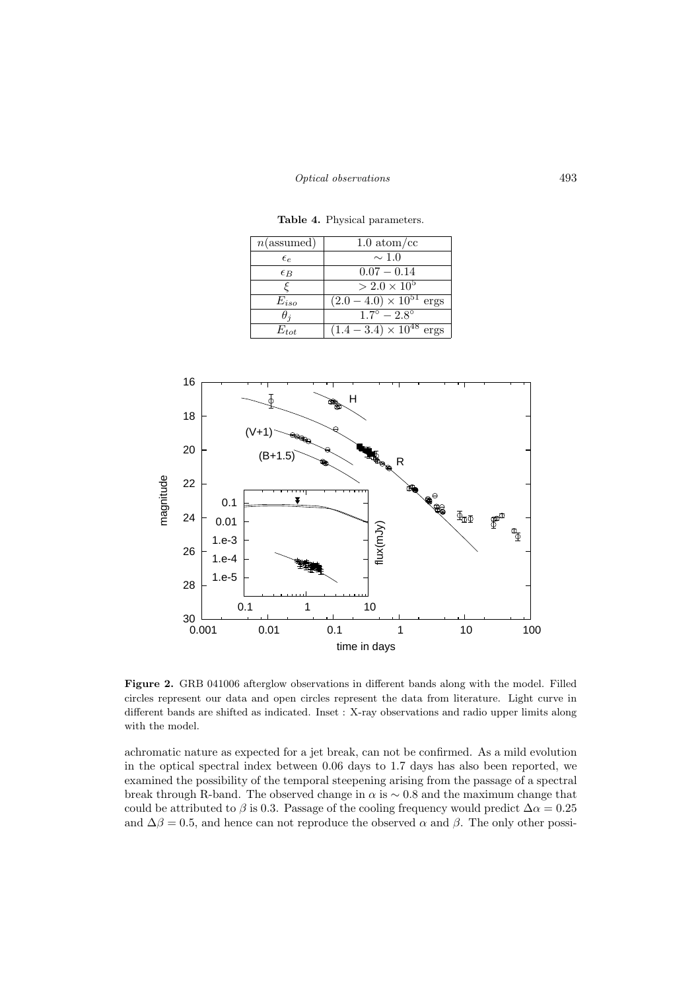| $n$ (assumed) | $1.0~\mathrm{atom/cc}$                                    |
|---------------|-----------------------------------------------------------|
| $\epsilon_e$  | $\sim$ 1.0                                                |
| $\epsilon_B$  | $0.07 - 0.14$                                             |
|               | $> 2.0 \times 10^5$                                       |
| $E_{iso}$     | $\sqrt{(2.0-4.0)\times 10^{51}}$ ergs                     |
| $\theta$ i    | $\frac{1.7^{\circ}-2.8^{\circ}}{1.7^{\circ}-2.8^{\circ}}$ |
| $E_{tot}$     | $(1.4-3.4)\times10^{48}$ ergs                             |

Table 4. Physical parameters.



Figure 2. GRB 041006 afterglow observations in different bands along with the model. Filled circles represent our data and open circles represent the data from literature. Light curve in different bands are shifted as indicated. Inset : X-ray observations and radio upper limits along with the model.

achromatic nature as expected for a jet break, can not be confirmed. As a mild evolution in the optical spectral index between 0.06 days to 1.7 days has also been reported, we examined the possibility of the temporal steepening arising from the passage of a spectral break through R-band. The observed change in  $\alpha$  is  $\sim 0.8$  and the maximum change that could be attributed to  $\beta$  is 0.3. Passage of the cooling frequency would predict  $\Delta \alpha = 0.25$ and  $\Delta\beta = 0.5$ , and hence can not reproduce the observed  $\alpha$  and  $\beta$ . The only other possi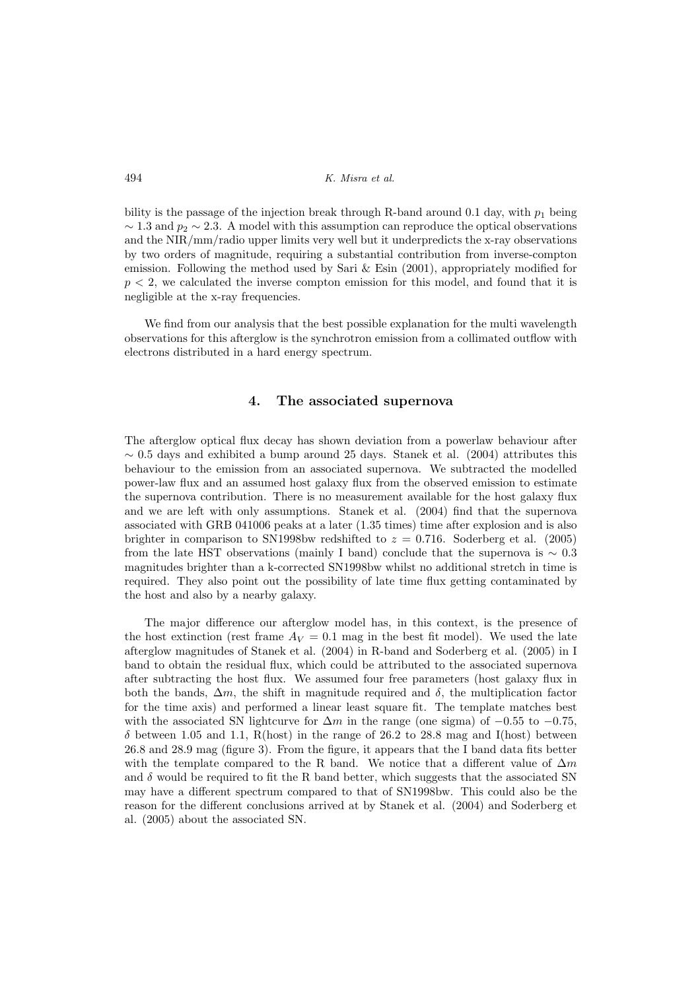bility is the passage of the injection break through R-band around 0.1 day, with  $p_1$  being  $\sim$  1.3 and  $p_2 \sim$  2.3. A model with this assumption can reproduce the optical observations and the NIR/mm/radio upper limits very well but it underpredicts the x-ray observations by two orders of magnitude, requiring a substantial contribution from inverse-compton emission. Following the method used by Sari & Esin (2001), appropriately modified for  $p < 2$ , we calculated the inverse compton emission for this model, and found that it is negligible at the x-ray frequencies.

We find from our analysis that the best possible explanation for the multi wavelength observations for this afterglow is the synchrotron emission from a collimated outflow with electrons distributed in a hard energy spectrum.

### 4. The associated supernova

The afterglow optical flux decay has shown deviation from a powerlaw behaviour after  $\sim$  0.5 days and exhibited a bump around 25 days. Stanek et al. (2004) attributes this behaviour to the emission from an associated supernova. We subtracted the modelled power-law flux and an assumed host galaxy flux from the observed emission to estimate the supernova contribution. There is no measurement available for the host galaxy flux and we are left with only assumptions. Stanek et al. (2004) find that the supernova associated with GRB 041006 peaks at a later (1.35 times) time after explosion and is also brighter in comparison to SN1998bw redshifted to  $z = 0.716$ . Soderberg et al. (2005) from the late HST observations (mainly I band) conclude that the supernova is  $\sim 0.3$ magnitudes brighter than a k-corrected SN1998bw whilst no additional stretch in time is required. They also point out the possibility of late time flux getting contaminated by the host and also by a nearby galaxy.

The major difference our afterglow model has, in this context, is the presence of the host extinction (rest frame  $A_V = 0.1$  mag in the best fit model). We used the late afterglow magnitudes of Stanek et al. (2004) in R-band and Soderberg et al. (2005) in I band to obtain the residual flux, which could be attributed to the associated supernova after subtracting the host flux. We assumed four free parameters (host galaxy flux in both the bands,  $\Delta m$ , the shift in magnitude required and  $\delta$ , the multiplication factor for the time axis) and performed a linear least square fit. The template matches best with the associated SN lightcurve for  $\Delta m$  in the range (one sigma) of  $-0.55$  to  $-0.75$ ,  $\delta$  between 1.05 and 1.1, R(host) in the range of 26.2 to 28.8 mag and I(host) between 26.8 and 28.9 mag (figure 3). From the figure, it appears that the I band data fits better with the template compared to the R band. We notice that a different value of  $\Delta m$ and  $\delta$  would be required to fit the R band better, which suggests that the associated SN may have a different spectrum compared to that of SN1998bw. This could also be the reason for the different conclusions arrived at by Stanek et al. (2004) and Soderberg et al. (2005) about the associated SN.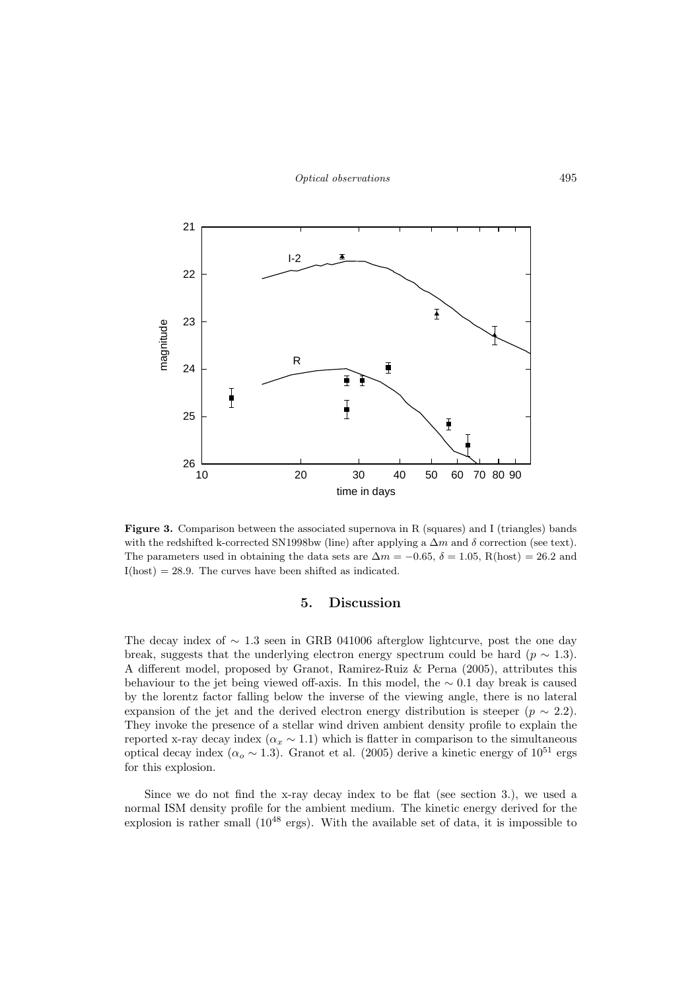

Figure 3. Comparison between the associated supernova in R (squares) and I (triangles) bands with the redshifted k-corrected SN1998bw (line) after applying a  $\Delta m$  and  $\delta$  correction (see text). The parameters used in obtaining the data sets are  $\Delta m = -0.65$ ,  $\delta = 1.05$ , R(host) = 26.2 and  $I(host) = 28.9$ . The curves have been shifted as indicated.

#### 5. Discussion

The decay index of  $\sim$  1.3 seen in GRB 041006 afterglow lightcurve, post the one day break, suggests that the underlying electron energy spectrum could be hard ( $p \sim 1.3$ ). A different model, proposed by Granot, Ramirez-Ruiz & Perna (2005), attributes this behaviour to the jet being viewed off-axis. In this model, the  $\sim 0.1$  day break is caused by the lorentz factor falling below the inverse of the viewing angle, there is no lateral expansion of the jet and the derived electron energy distribution is steeper ( $p \sim 2.2$ ). They invoke the presence of a stellar wind driven ambient density profile to explain the reported x-ray decay index ( $\alpha_x \sim 1.1$ ) which is flatter in comparison to the simultaneous optical decay index ( $\alpha_o \sim 1.3$ ). Granot et al. (2005) derive a kinetic energy of  $10^{51}$  ergs for this explosion.

Since we do not find the x-ray decay index to be flat (see section 3.), we used a normal ISM density profile for the ambient medium. The kinetic energy derived for the explosion is rather small  $(10^{48} \text{ ergs})$ . With the available set of data, it is impossible to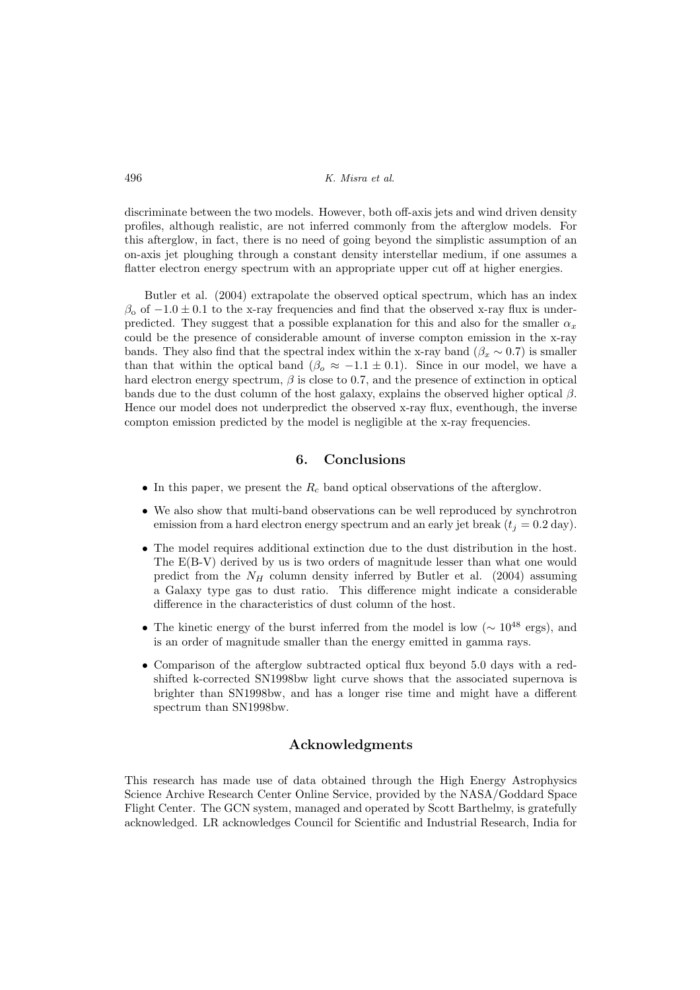discriminate between the two models. However, both off-axis jets and wind driven density profiles, although realistic, are not inferred commonly from the afterglow models. For this afterglow, in fact, there is no need of going beyond the simplistic assumption of an on-axis jet ploughing through a constant density interstellar medium, if one assumes a flatter electron energy spectrum with an appropriate upper cut off at higher energies.

Butler et al. (2004) extrapolate the observed optical spectrum, which has an index  $\beta_0$  of  $-1.0 \pm 0.1$  to the x-ray frequencies and find that the observed x-ray flux is underpredicted. They suggest that a possible explanation for this and also for the smaller  $\alpha_x$ could be the presence of considerable amount of inverse compton emission in the x-ray bands. They also find that the spectral index within the x-ray band ( $\beta_x \sim 0.7$ ) is smaller than that within the optical band ( $\beta_o \approx -1.1 \pm 0.1$ ). Since in our model, we have a hard electron energy spectrum,  $\beta$  is close to 0.7, and the presence of extinction in optical bands due to the dust column of the host galaxy, explains the observed higher optical  $\beta$ . Hence our model does not underpredict the observed x-ray flux, eventhough, the inverse compton emission predicted by the model is negligible at the x-ray frequencies.

# 6. Conclusions

- In this paper, we present the  $R_c$  band optical observations of the afterglow.
- We also show that multi-band observations can be well reproduced by synchrotron emission from a hard electron energy spectrum and an early jet break  $(t_j = 0.2 \text{ day}).$
- The model requires additional extinction due to the dust distribution in the host. The E(B-V) derived by us is two orders of magnitude lesser than what one would predict from the  $N_H$  column density inferred by Butler et al. (2004) assuming a Galaxy type gas to dust ratio. This difference might indicate a considerable difference in the characteristics of dust column of the host.
- The kinetic energy of the burst inferred from the model is low ( $\sim 10^{48}$  ergs), and is an order of magnitude smaller than the energy emitted in gamma rays.
- Comparison of the afterglow subtracted optical flux beyond 5.0 days with a redshifted k-corrected SN1998bw light curve shows that the associated supernova is brighter than SN1998bw, and has a longer rise time and might have a different spectrum than SN1998bw.

## Acknowledgments

This research has made use of data obtained through the High Energy Astrophysics Science Archive Research Center Online Service, provided by the NASA/Goddard Space Flight Center. The GCN system, managed and operated by Scott Barthelmy, is gratefully acknowledged. LR acknowledges Council for Scientific and Industrial Research, India for